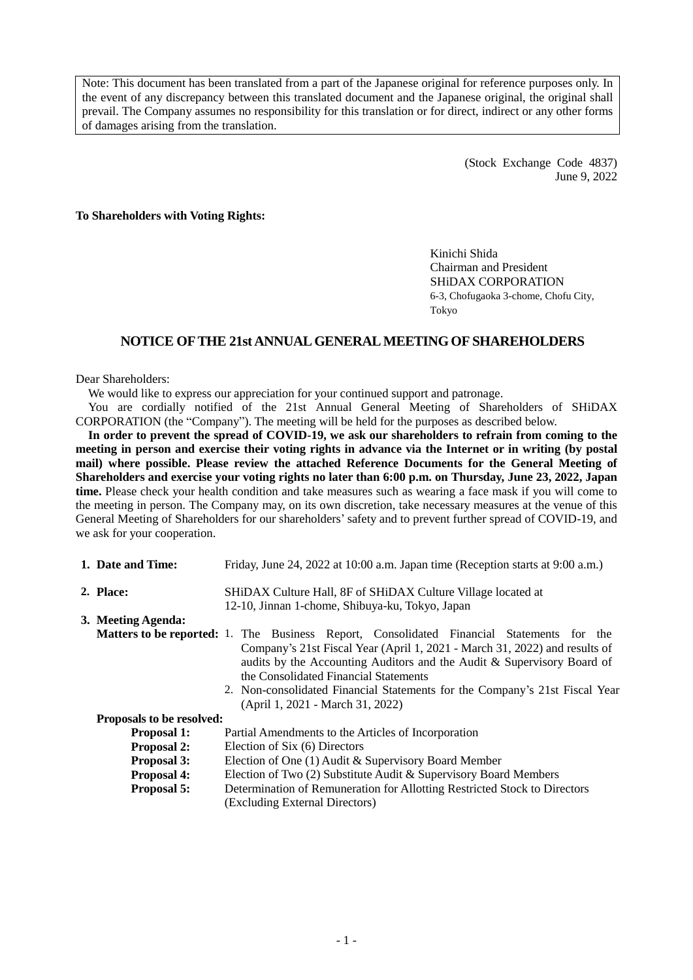Note: This document has been translated from a part of the Japanese original for reference purposes only. In the event of any discrepancy between this translated document and the Japanese original, the original shall prevail. The Company assumes no responsibility for this translation or for direct, indirect or any other forms of damages arising from the translation.

> (Stock Exchange Code 4837) June 9, 2022

**To Shareholders with Voting Rights:**

Kinichi Shida Chairman and President SHiDAX CORPORATION 6-3, Chofugaoka 3-chome, Chofu City, Tokyo

## **NOTICE OF THE 21st ANNUAL GENERAL MEETING OF SHAREHOLDERS**

#### Dear Shareholders:

We would like to express our appreciation for your continued support and patronage.

You are cordially notified of the 21st Annual General Meeting of Shareholders of SHiDAX CORPORATION (the "Company"). The meeting will be held for the purposes as described below.

**In order to prevent the spread of COVID-19, we ask our shareholders to refrain from coming to the meeting in person and exercise their voting rights in advance via the Internet or in writing (by postal mail) where possible. Please review the attached Reference Documents for the General Meeting of Shareholders and exercise your voting rights no later than 6:00 p.m. on Thursday, June 23, 2022, Japan time.** Please check your health condition and take measures such as wearing a face mask if you will come to the meeting in person. The Company may, on its own discretion, take necessary measures at the venue of this General Meeting of Shareholders for our shareholders'safety and to prevent further spread of COVID-19, and we ask for your cooperation.

| 1. Date and Time:         | Friday, June 24, 2022 at 10:00 a.m. Japan time (Reception starts at 9:00 a.m.)                                                                                                                                                                                                                                   |  |  |  |  |  |
|---------------------------|------------------------------------------------------------------------------------------------------------------------------------------------------------------------------------------------------------------------------------------------------------------------------------------------------------------|--|--|--|--|--|
| 2. Place:                 | SHiDAX Culture Hall, 8F of SHiDAX Culture Village located at<br>12-10, Jinnan 1-chome, Shibuya-ku, Tokyo, Japan                                                                                                                                                                                                  |  |  |  |  |  |
| 3. Meeting Agenda:        |                                                                                                                                                                                                                                                                                                                  |  |  |  |  |  |
|                           | <b>Matters to be reported:</b> 1. The Business Report, Consolidated Financial Statements for the                                                                                                                                                                                                                 |  |  |  |  |  |
|                           | Company's 21st Fiscal Year (April 1, 2021 - March 31, 2022) and results of<br>audits by the Accounting Auditors and the Audit & Supervisory Board of<br>the Consolidated Financial Statements<br>2. Non-consolidated Financial Statements for the Company's 21st Fiscal Year<br>(April 1, 2021 - March 31, 2022) |  |  |  |  |  |
| Proposals to be resolved: |                                                                                                                                                                                                                                                                                                                  |  |  |  |  |  |
| <b>Proposal 1:</b>        | Partial Amendments to the Articles of Incorporation                                                                                                                                                                                                                                                              |  |  |  |  |  |
| <b>Proposal 2:</b>        | Election of Six (6) Directors                                                                                                                                                                                                                                                                                    |  |  |  |  |  |
| <b>Proposal 3:</b>        | Election of One (1) Audit & Supervisory Board Member                                                                                                                                                                                                                                                             |  |  |  |  |  |
| <b>Proposal 4:</b>        | Election of Two (2) Substitute Audit & Supervisory Board Members                                                                                                                                                                                                                                                 |  |  |  |  |  |
| <b>Proposal 5:</b>        | Determination of Remuneration for Allotting Restricted Stock to Directors<br>(Excluding External Directors)                                                                                                                                                                                                      |  |  |  |  |  |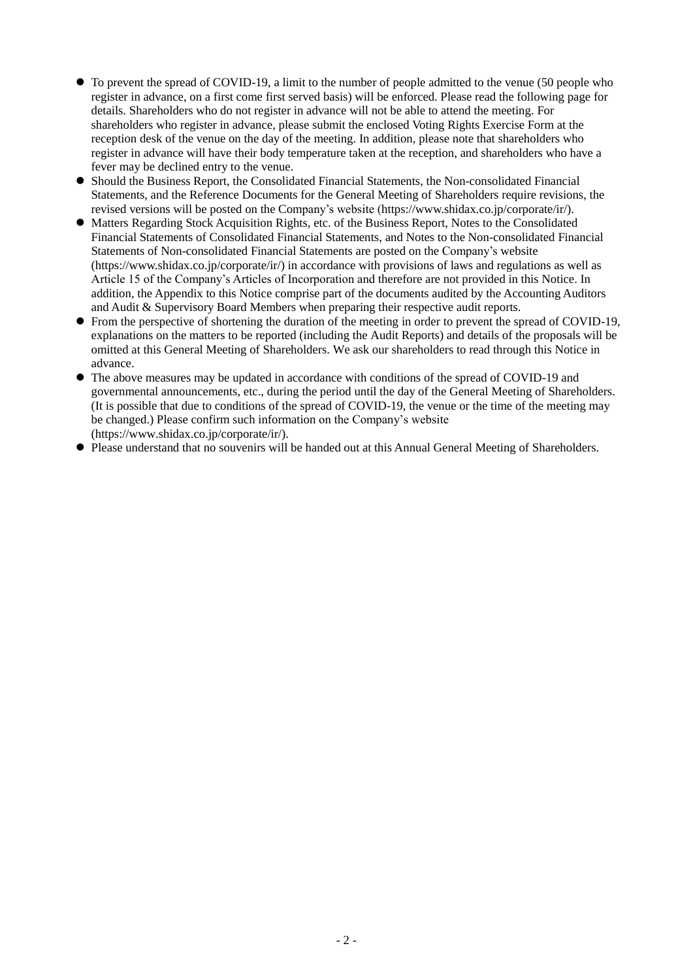- To prevent the spread of COVID-19, a limit to the number of people admitted to the venue (50 people who register in advance, on a first come first served basis) will be enforced. Please read the following page for details. Shareholders who do not register in advance will not be able to attend the meeting. For shareholders who register in advance, please submit the enclosed Voting Rights Exercise Form at the reception desk of the venue on the day of the meeting. In addition, please note that shareholders who register in advance will have their body temperature taken at the reception, and shareholders who have a fever may be declined entry to the venue.
- Should the Business Report, the Consolidated Financial Statements, the Non-consolidated Financial Statements, and the Reference Documents for the General Meeting of Shareholders require revisions, the revised versions will be posted on the Company's website (https://www.shidax.co.jp/corporate/ir/).
- Matters Regarding Stock Acquisition Rights, etc. of the Business Report, Notes to the Consolidated Financial Statements of Consolidated Financial Statements, and Notes to the Non-consolidated Financial Statements of Non-consolidated Financial Statements are posted on the Company's website (https://www.shidax.co.jp/corporate/ir/) in accordance with provisions of laws and regulations as well as Article 15 of the Company's Articles of Incorporation and therefore are not provided in this Notice. In addition, the Appendix to this Notice comprise part of the documents audited by the Accounting Auditors and Audit & Supervisory Board Members when preparing their respective audit reports.
- From the perspective of shortening the duration of the meeting in order to prevent the spread of COVID-19, explanations on the matters to be reported (including the Audit Reports) and details of the proposals will be omitted at this General Meeting of Shareholders. We ask our shareholders to read through this Notice in advance.
- The above measures may be updated in accordance with conditions of the spread of COVID-19 and governmental announcements, etc., during the period until the day of the General Meeting of Shareholders. (It is possible that due to conditions of the spread of COVID-19, the venue or the time of the meeting may be changed.) Please confirm such information on the Company's website (https://www.shidax.co.jp/corporate/ir/).
- Please understand that no souvenirs will be handed out at this Annual General Meeting of Shareholders.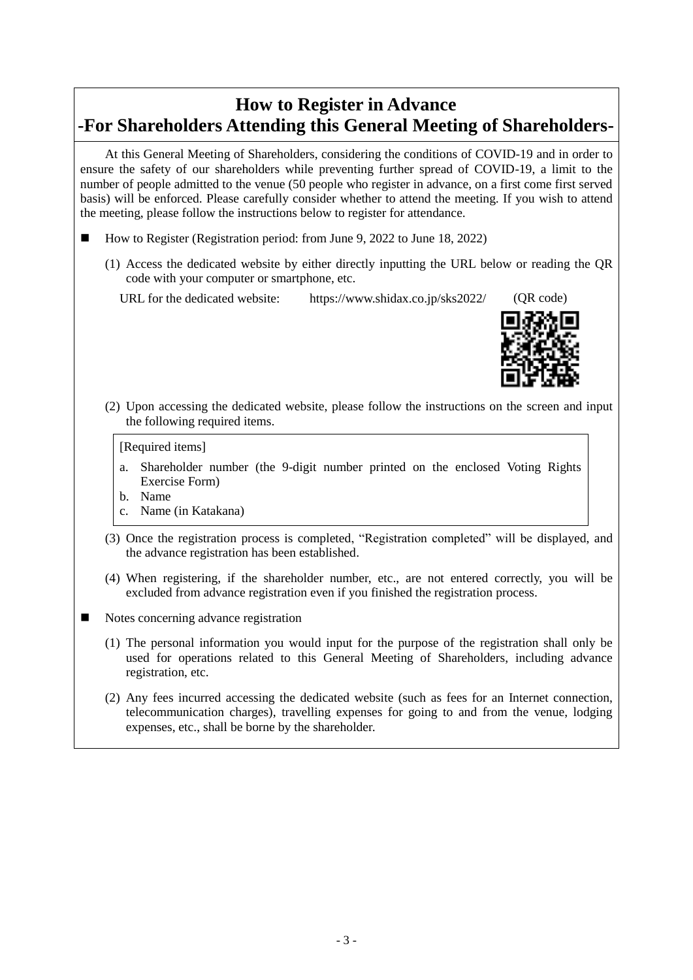## **How to Register in Advance -For Shareholders Attending this General Meeting of Shareholders-**

At this General Meeting of Shareholders, considering the conditions of COVID-19 and in order to ensure the safety of our shareholders while preventing further spread of COVID-19, a limit to the number of people admitted to the venue (50 people who register in advance, on a first come first served basis) will be enforced. Please carefully consider whether to attend the meeting. If you wish to attend the meeting, please follow the instructions below to register for attendance.

- How to Register (Registration period: from June 9, 2022 to June 18, 2022)
	- (1) Access the dedicated website by either directly inputting the URL below or reading the QR code with your computer or smartphone, etc.

URL for the dedicated website: https://www.shidax.co.jp/sks2022/ (QR code)



(2) Upon accessing the dedicated website, please follow the instructions on the screen and input the following required items.

#### [Required items]

- a. Shareholder number (the 9-digit number printed on the enclosed Voting Rights Exercise Form)
- b. Name
- c. Name (in Katakana)
- (3) Once the registration process is completed, "Registration completed" will be displayed, and the advance registration has been established.
- (4) When registering, if the shareholder number, etc., are not entered correctly, you will be excluded from advance registration even if you finished the registration process.
- Notes concerning advance registration
	- (1) The personal information you would input for the purpose of the registration shall only be used for operations related to this General Meeting of Shareholders, including advance registration, etc.
	- (2) Any fees incurred accessing the dedicated website (such as fees for an Internet connection, telecommunication charges), travelling expenses for going to and from the venue, lodging expenses, etc., shall be borne by the shareholder.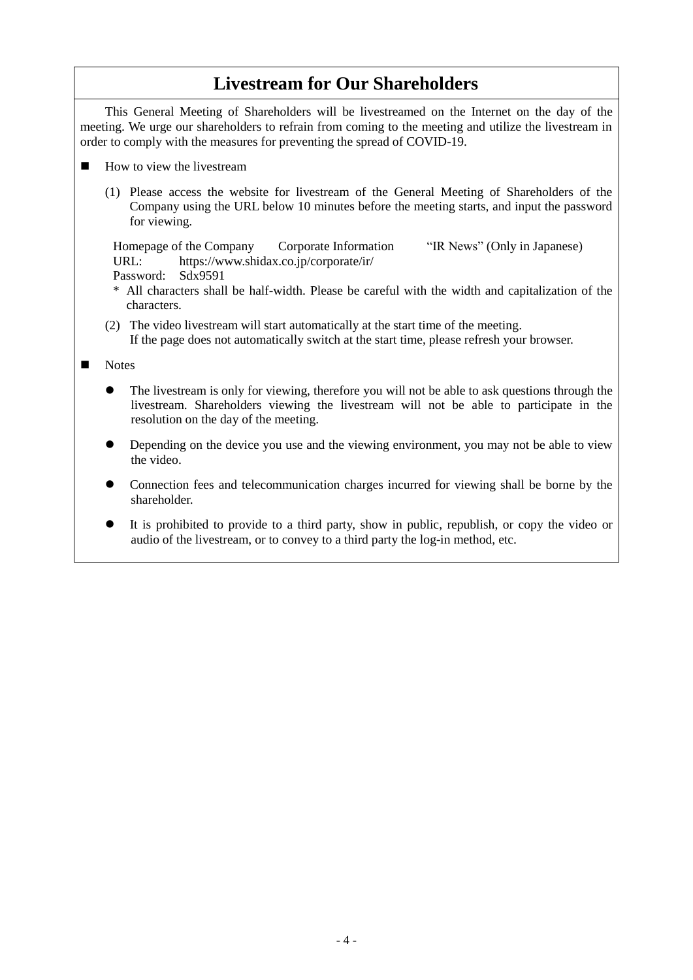## **Livestream for Our Shareholders**

This General Meeting of Shareholders will be livestreamed on the Internet on the day of the meeting. We urge our shareholders to refrain from coming to the meeting and utilize the livestream in order to comply with the measures for preventing the spread of COVID-19.

- How to view the livestream
	- (1) Please access the website for livestream of the General Meeting of Shareholders of the Company using the URL below 10 minutes before the meeting starts, and input the password for viewing.

Homepage of the Company Corporate Information "IR News" (Only in Japanese) URL: https://www.shidax.co.jp/corporate/ir/ Password: Sdx9591

\* All characters shall be half-width. Please be careful with the width and capitalization of the characters.

(2) The video livestream will start automatically at the start time of the meeting. If the page does not automatically switch at the start time, please refresh your browser.

Notes

- The livestream is only for viewing, therefore you will not be able to ask questions through the livestream. Shareholders viewing the livestream will not be able to participate in the resolution on the day of the meeting.
- Depending on the device you use and the viewing environment, you may not be able to view the video.
- Connection fees and telecommunication charges incurred for viewing shall be borne by the shareholder.
- It is prohibited to provide to a third party, show in public, republish, or copy the video or audio of the livestream, or to convey to a third party the log-in method, etc.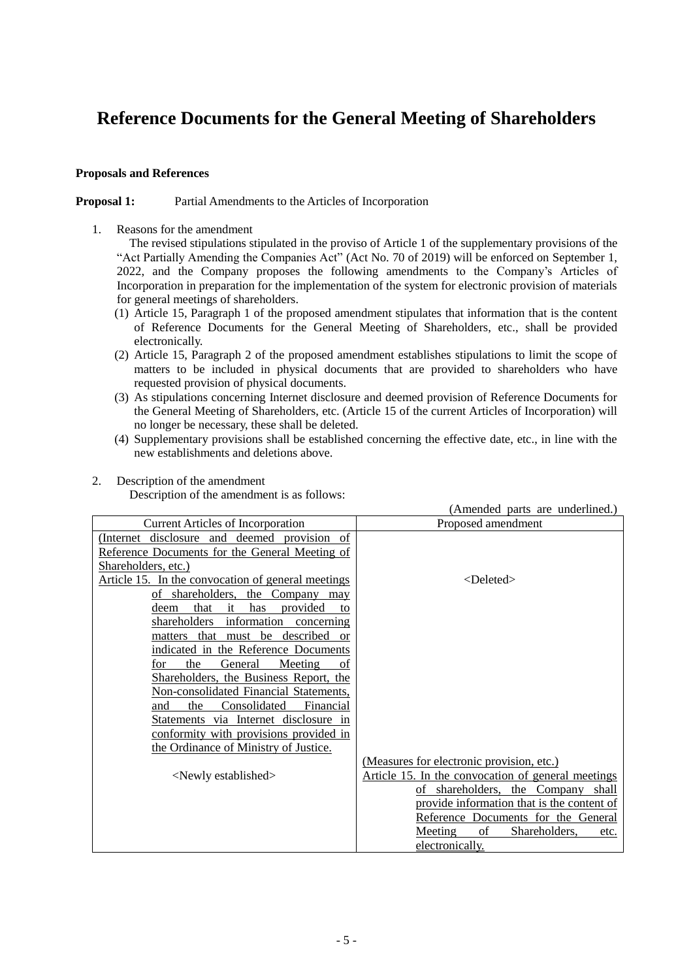# **Reference Documents for the General Meeting of Shareholders**

## **Proposals and References**

#### **Proposal 1:** Partial Amendments to the Articles of Incorporation

1. Reasons for the amendment

The revised stipulations stipulated in the proviso of Article 1 of the supplementary provisions of the "Act Partially Amending the Companies Act" (Act No. 70 of 2019) will be enforced on September 1, 2022, and the Company proposes the following amendments to the Company's Articles of Incorporation in preparation for the implementation of the system for electronic provision of materials for general meetings of shareholders.

- (1) Article 15, Paragraph 1 of the proposed amendment stipulates that information that is the content of Reference Documents for the General Meeting of Shareholders, etc., shall be provided electronically.
- (2) Article 15, Paragraph 2 of the proposed amendment establishes stipulations to limit the scope of matters to be included in physical documents that are provided to shareholders who have requested provision of physical documents.
- (3) As stipulations concerning Internet disclosure and deemed provision of Reference Documents for the General Meeting of Shareholders, etc. (Article 15 of the current Articles of Incorporation) will no longer be necessary, these shall be deleted.
- (4) Supplementary provisions shall be established concerning the effective date, etc., in line with the new establishments and deletions above.

## 2. Description of the amendment

Description of the amendment is as follows:

|                                                                                 | (Amended parts are underlined.)                    |
|---------------------------------------------------------------------------------|----------------------------------------------------|
| <b>Current Articles of Incorporation</b>                                        | Proposed amendment                                 |
| (Internet disclosure and deemed provision of                                    |                                                    |
| Reference Documents for the General Meeting of                                  |                                                    |
| Shareholders, etc.)                                                             |                                                    |
| Article 15. In the convocation of general meetings                              | $<$ Deleted $>$                                    |
| of shareholders, the Company may                                                |                                                    |
| that<br>it<br>provided<br>has<br>deem<br>to                                     |                                                    |
| shareholders information<br>concerning                                          |                                                    |
| matters that must be described<br><b>or</b>                                     |                                                    |
| indicated in the Reference Documents                                            |                                                    |
| the<br>General<br>Meeting<br>for<br>οf                                          |                                                    |
| Shareholders, the Business Report, the                                          |                                                    |
| Non-consolidated Financial Statements,                                          |                                                    |
| Consolidated<br>the<br>Financial<br>and                                         |                                                    |
| Statements via Internet disclosure in<br>conformity with provisions provided in |                                                    |
| the Ordinance of Ministry of Justice.                                           |                                                    |
|                                                                                 | (Measures for electronic provision, etc.)          |
| <newly established=""></newly>                                                  | Article 15. In the convocation of general meetings |
|                                                                                 | of shareholders, the Company shall                 |
|                                                                                 | provide information that is the content of         |
|                                                                                 | Reference Documents for the General                |
|                                                                                 | Shareholders,<br><b>Meeting</b><br>of<br>etc.      |
|                                                                                 | electronically.                                    |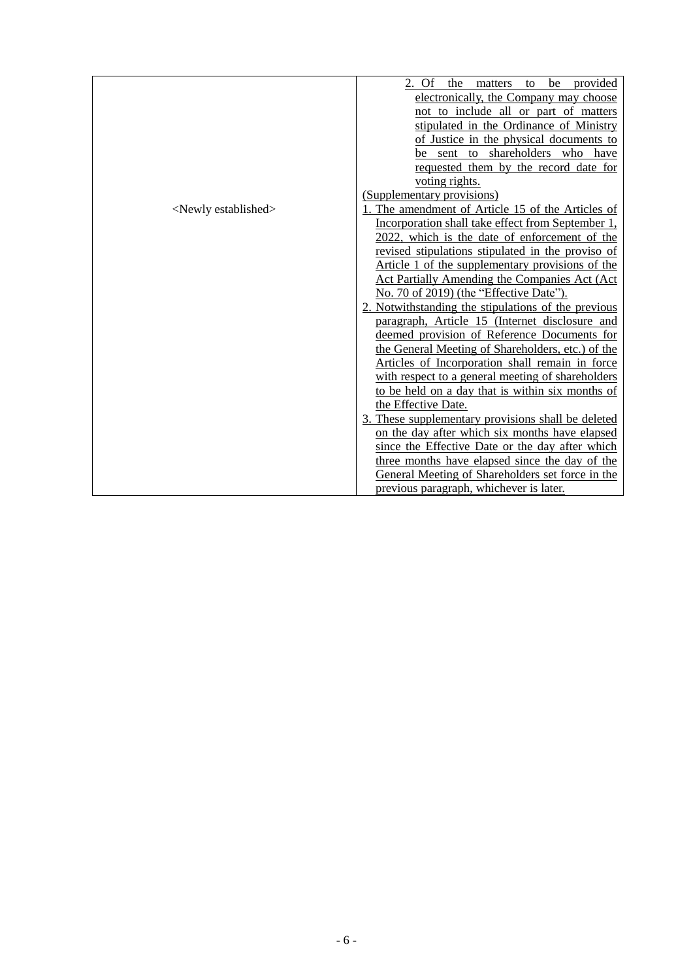|                                | 2. Of the matters to be<br>provided                   |
|--------------------------------|-------------------------------------------------------|
|                                | electronically, the Company may choose                |
|                                | not to include all or part of matters                 |
|                                | stipulated in the Ordinance of Ministry               |
|                                | of Justice in the physical documents to               |
|                                | be sent to shareholders who have                      |
|                                | requested them by the record date for                 |
|                                | voting rights.                                        |
|                                | (Supplementary provisions)                            |
| <newly established=""></newly> | 1. The amendment of Article 15 of the Articles of     |
|                                | Incorporation shall take effect from September 1,     |
|                                | 2022, which is the date of enforcement of the         |
|                                | revised stipulations stipulated in the proviso of     |
|                                | Article 1 of the supplementary provisions of the      |
|                                | <b>Act Partially Amending the Companies Act (Act)</b> |
|                                | No. 70 of 2019) (the "Effective Date").               |
|                                | 2. Notwithstanding the stipulations of the previous   |
|                                | paragraph, Article 15 (Internet disclosure and        |
|                                | deemed provision of Reference Documents for           |
|                                | the General Meeting of Shareholders, etc.) of the     |
|                                | Articles of Incorporation shall remain in force       |
|                                | with respect to a general meeting of shareholders     |
|                                | to be held on a day that is within six months of      |
|                                | the Effective Date.                                   |
|                                | 3. These supplementary provisions shall be deleted    |
|                                | on the day after which six months have elapsed        |
|                                | since the Effective Date or the day after which       |
|                                | three months have elapsed since the day of the        |
|                                | General Meeting of Shareholders set force in the      |
|                                | previous paragraph, whichever is later.               |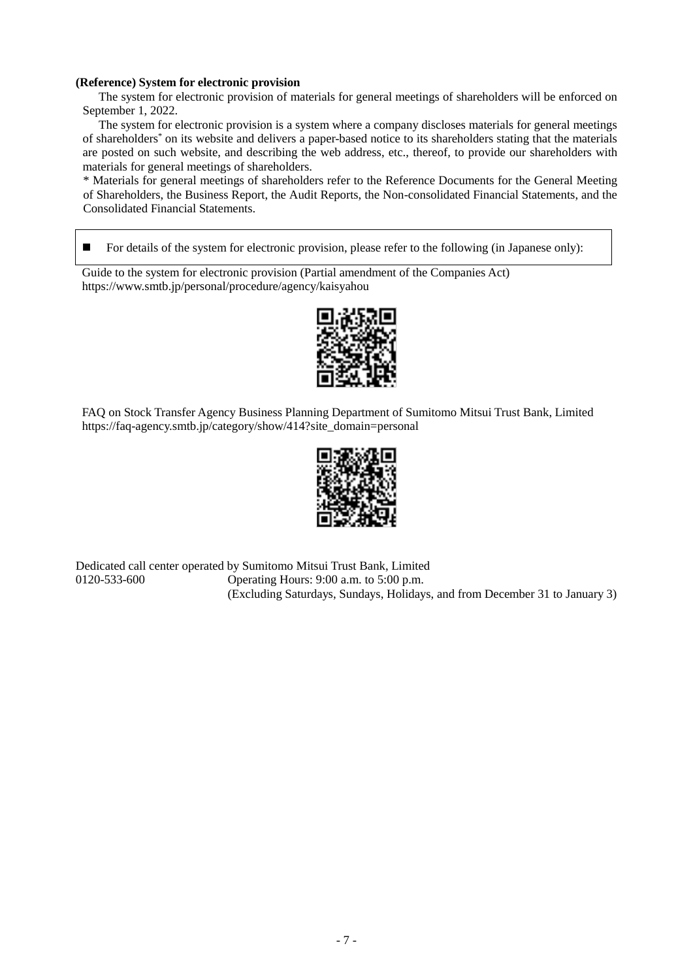#### **(Reference) System for electronic provision**

The system for electronic provision of materials for general meetings of shareholders will be enforced on September 1, 2022.

The system for electronic provision is a system where a company discloses materials for general meetings of shareholders\* on its website and delivers a paper-based notice to its shareholders stating that the materials are posted on such website, and describing the web address, etc., thereof, to provide our shareholders with materials for general meetings of shareholders.

\* Materials for general meetings of shareholders refer to the Reference Documents for the General Meeting of Shareholders, the Business Report, the Audit Reports, the Non-consolidated Financial Statements, and the Consolidated Financial Statements.

■ For details of the system for electronic provision, please refer to the following (in Japanese only):

Guide to the system for electronic provision (Partial amendment of the Companies Act) https://www.smtb.jp/personal/procedure/agency/kaisyahou



FAQ on Stock Transfer Agency Business Planning Department of Sumitomo Mitsui Trust Bank, Limited https://faq-agency.smtb.jp/category/show/414?site\_domain=personal



Dedicated call center operated by Sumitomo Mitsui Trust Bank, Limited 0120-533-600 Operating Hours: 9:00 a.m. to 5:00 p.m. (Excluding Saturdays, Sundays, Holidays, and from December 31 to January 3)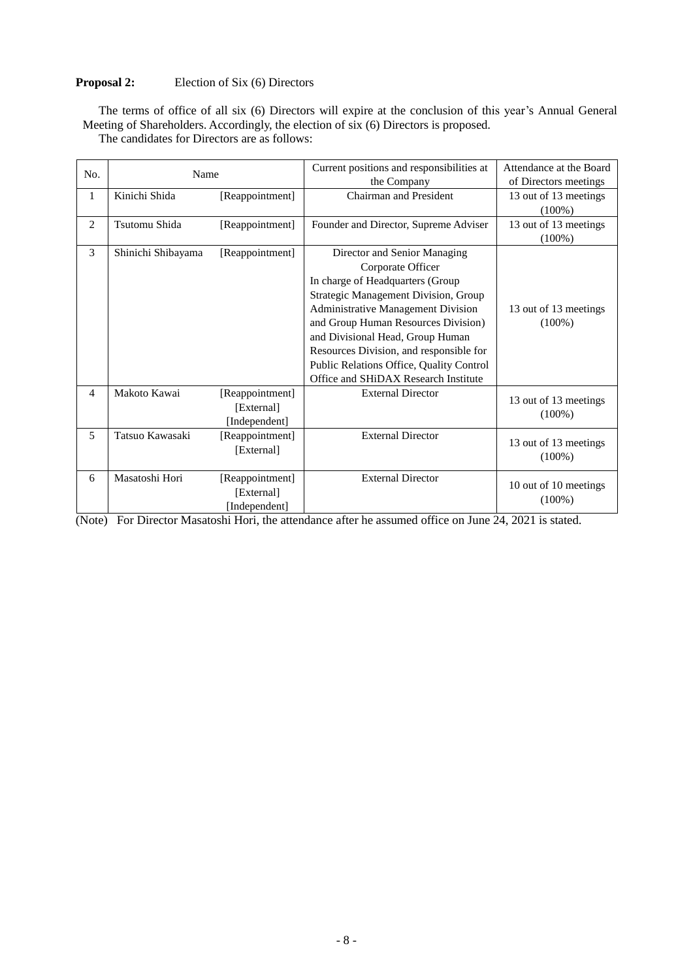## **Proposal 2:** Election of Six (6) Directors

The terms of office of all six (6) Directors will expire at the conclusion of this year's Annual General Meeting of Shareholders. Accordingly, the election of six (6) Directors is proposed.

| No.            | Name               |                 | Current positions and responsibilities at | Attendance at the Board |
|----------------|--------------------|-----------------|-------------------------------------------|-------------------------|
|                |                    |                 | the Company                               | of Directors meetings   |
| 1              | Kinichi Shida      | [Reappointment] | Chairman and President                    | 13 out of 13 meetings   |
|                |                    |                 |                                           | $(100\%)$               |
| $\overline{2}$ | Tsutomu Shida      | [Reappointment] | Founder and Director, Supreme Adviser     | 13 out of 13 meetings   |
|                |                    |                 |                                           | $(100\%)$               |
| 3              | Shinichi Shibayama | [Reappointment] | Director and Senior Managing              |                         |
|                |                    |                 | Corporate Officer                         |                         |
|                |                    |                 | In charge of Headquarters (Group          |                         |
|                |                    |                 | Strategic Management Division, Group      |                         |
|                |                    |                 | Administrative Management Division        | 13 out of 13 meetings   |
|                |                    |                 | and Group Human Resources Division)       | $(100\%)$               |
|                |                    |                 | and Divisional Head, Group Human          |                         |
|                |                    |                 | Resources Division, and responsible for   |                         |
|                |                    |                 | Public Relations Office, Quality Control  |                         |
|                |                    |                 | Office and SHiDAX Research Institute      |                         |
| 4              | Makoto Kawai       | [Reappointment] | <b>External Director</b>                  | 13 out of 13 meetings   |
|                |                    | [External]      |                                           | $(100\%)$               |
|                |                    | [Independent]   |                                           |                         |
| 5              | Tatsuo Kawasaki    | [Reappointment] | <b>External Director</b>                  |                         |
|                |                    | [External]      |                                           | 13 out of 13 meetings   |
|                |                    |                 |                                           | $(100\%)$               |
| 6              | Masatoshi Hori     | [Reappointment] | <b>External Director</b>                  |                         |
|                |                    | [External]      |                                           | 10 out of 10 meetings   |
|                |                    | [Independent]   |                                           | $(100\%)$               |

The candidates for Directors are as follows:

(Note) For Director Masatoshi Hori, the attendance after he assumed office on June 24, 2021 is stated.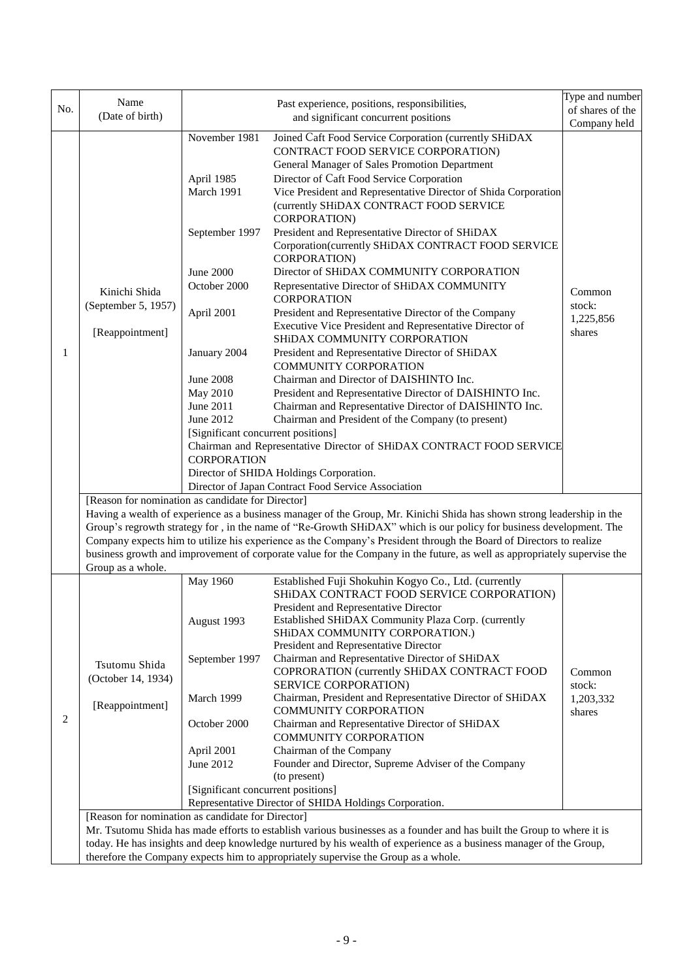|     | Name                                                                                                                                                                                                                                          |                                                                      | Past experience, positions, responsibilities,                                                                            | Type and number  |  |  |  |  |
|-----|-----------------------------------------------------------------------------------------------------------------------------------------------------------------------------------------------------------------------------------------------|----------------------------------------------------------------------|--------------------------------------------------------------------------------------------------------------------------|------------------|--|--|--|--|
| No. | (Date of birth)                                                                                                                                                                                                                               |                                                                      | and significant concurrent positions                                                                                     | of shares of the |  |  |  |  |
|     |                                                                                                                                                                                                                                               |                                                                      |                                                                                                                          | Company held     |  |  |  |  |
|     |                                                                                                                                                                                                                                               | November 1981                                                        | Joined Caft Food Service Corporation (currently SHiDAX                                                                   |                  |  |  |  |  |
|     |                                                                                                                                                                                                                                               |                                                                      | CONTRACT FOOD SERVICE CORPORATION)                                                                                       |                  |  |  |  |  |
|     |                                                                                                                                                                                                                                               |                                                                      | General Manager of Sales Promotion Department                                                                            |                  |  |  |  |  |
|     |                                                                                                                                                                                                                                               | April 1985                                                           | Director of Caft Food Service Corporation                                                                                |                  |  |  |  |  |
|     |                                                                                                                                                                                                                                               | March 1991                                                           | Vice President and Representative Director of Shida Corporation                                                          |                  |  |  |  |  |
|     |                                                                                                                                                                                                                                               |                                                                      | (currently SHiDAX CONTRACT FOOD SERVICE                                                                                  |                  |  |  |  |  |
|     |                                                                                                                                                                                                                                               |                                                                      | CORPORATION)                                                                                                             |                  |  |  |  |  |
|     |                                                                                                                                                                                                                                               | September 1997                                                       | President and Representative Director of SHiDAX                                                                          |                  |  |  |  |  |
|     |                                                                                                                                                                                                                                               |                                                                      | Corporation(currently SHiDAX CONTRACT FOOD SERVICE                                                                       |                  |  |  |  |  |
|     |                                                                                                                                                                                                                                               |                                                                      | CORPORATION)                                                                                                             |                  |  |  |  |  |
|     |                                                                                                                                                                                                                                               | <b>June 2000</b>                                                     | Director of SHiDAX COMMUNITY CORPORATION                                                                                 |                  |  |  |  |  |
|     | Kinichi Shida                                                                                                                                                                                                                                 | October 2000                                                         | Representative Director of SHiDAX COMMUNITY                                                                              | Common           |  |  |  |  |
|     | (September 5, 1957)                                                                                                                                                                                                                           |                                                                      | <b>CORPORATION</b>                                                                                                       | stock:           |  |  |  |  |
|     |                                                                                                                                                                                                                                               | April 2001                                                           | President and Representative Director of the Company                                                                     | 1,225,856        |  |  |  |  |
|     | [Reappointment]                                                                                                                                                                                                                               |                                                                      | Executive Vice President and Representative Director of                                                                  | shares           |  |  |  |  |
|     |                                                                                                                                                                                                                                               |                                                                      | SHIDAX COMMUNITY CORPORATION                                                                                             |                  |  |  |  |  |
| 1   |                                                                                                                                                                                                                                               | January 2004                                                         | President and Representative Director of SHiDAX                                                                          |                  |  |  |  |  |
|     |                                                                                                                                                                                                                                               |                                                                      | <b>COMMUNITY CORPORATION</b>                                                                                             |                  |  |  |  |  |
|     |                                                                                                                                                                                                                                               | <b>June 2008</b>                                                     | Chairman and Director of DAISHINTO Inc.                                                                                  |                  |  |  |  |  |
|     |                                                                                                                                                                                                                                               | <b>May 2010</b>                                                      | President and Representative Director of DAISHINTO Inc.                                                                  |                  |  |  |  |  |
|     |                                                                                                                                                                                                                                               | June 2011                                                            | Chairman and Representative Director of DAISHINTO Inc.                                                                   |                  |  |  |  |  |
|     |                                                                                                                                                                                                                                               | June 2012                                                            | Chairman and President of the Company (to present)                                                                       |                  |  |  |  |  |
|     |                                                                                                                                                                                                                                               | [Significant concurrent positions]                                   |                                                                                                                          |                  |  |  |  |  |
|     |                                                                                                                                                                                                                                               | Chairman and Representative Director of SHiDAX CONTRACT FOOD SERVICE |                                                                                                                          |                  |  |  |  |  |
|     |                                                                                                                                                                                                                                               | <b>CORPORATION</b>                                                   | Director of SHIDA Holdings Corporation.                                                                                  |                  |  |  |  |  |
|     |                                                                                                                                                                                                                                               |                                                                      |                                                                                                                          |                  |  |  |  |  |
|     |                                                                                                                                                                                                                                               | Director of Japan Contract Food Service Association                  |                                                                                                                          |                  |  |  |  |  |
|     | [Reason for nomination as candidate for Director]                                                                                                                                                                                             |                                                                      |                                                                                                                          |                  |  |  |  |  |
|     | Having a wealth of experience as a business manager of the Group, Mr. Kinichi Shida has shown strong leadership in the<br>Group's regrowth strategy for , in the name of "Re-Growth SHiDAX" which is our policy for business development. The |                                                                      |                                                                                                                          |                  |  |  |  |  |
|     |                                                                                                                                                                                                                                               |                                                                      | Company expects him to utilize his experience as the Company's President through the Board of Directors to realize       |                  |  |  |  |  |
|     |                                                                                                                                                                                                                                               |                                                                      | business growth and improvement of corporate value for the Company in the future, as well as appropriately supervise the |                  |  |  |  |  |
|     | Group as a whole.                                                                                                                                                                                                                             |                                                                      |                                                                                                                          |                  |  |  |  |  |
|     |                                                                                                                                                                                                                                               | May 1960                                                             | Established Fuji Shokuhin Kogyo Co., Ltd. (currently                                                                     |                  |  |  |  |  |
|     |                                                                                                                                                                                                                                               |                                                                      | SHIDAX CONTRACT FOOD SERVICE CORPORATION)                                                                                |                  |  |  |  |  |
|     |                                                                                                                                                                                                                                               |                                                                      | President and Representative Director                                                                                    |                  |  |  |  |  |
|     |                                                                                                                                                                                                                                               | August 1993                                                          | Established SHiDAX Community Plaza Corp. (currently                                                                      |                  |  |  |  |  |
|     |                                                                                                                                                                                                                                               |                                                                      | SHIDAX COMMUNITY CORPORATION.)                                                                                           |                  |  |  |  |  |
|     |                                                                                                                                                                                                                                               |                                                                      | President and Representative Director                                                                                    |                  |  |  |  |  |
|     | Tsutomu Shida                                                                                                                                                                                                                                 | September 1997                                                       | Chairman and Representative Director of SHiDAX                                                                           |                  |  |  |  |  |
|     | (October 14, 1934)                                                                                                                                                                                                                            |                                                                      | COPRORATION (currently SHiDAX CONTRACT FOOD                                                                              | Common           |  |  |  |  |
|     |                                                                                                                                                                                                                                               |                                                                      | SERVICE CORPORATION)                                                                                                     | stock:           |  |  |  |  |
|     | [Reappointment]                                                                                                                                                                                                                               | March 1999                                                           | Chairman, President and Representative Director of SHiDAX                                                                | 1,203,332        |  |  |  |  |
| 2   |                                                                                                                                                                                                                                               |                                                                      | <b>COMMUNITY CORPORATION</b>                                                                                             | shares           |  |  |  |  |
|     |                                                                                                                                                                                                                                               | October 2000                                                         | Chairman and Representative Director of SHiDAX                                                                           |                  |  |  |  |  |
|     |                                                                                                                                                                                                                                               |                                                                      | COMMUNITY CORPORATION                                                                                                    |                  |  |  |  |  |
|     |                                                                                                                                                                                                                                               | April 2001<br>June 2012                                              | Chairman of the Company<br>Founder and Director, Supreme Adviser of the Company                                          |                  |  |  |  |  |
|     |                                                                                                                                                                                                                                               |                                                                      | (to present)                                                                                                             |                  |  |  |  |  |
|     |                                                                                                                                                                                                                                               | [Significant concurrent positions]                                   |                                                                                                                          |                  |  |  |  |  |
|     |                                                                                                                                                                                                                                               |                                                                      | Representative Director of SHIDA Holdings Corporation.                                                                   |                  |  |  |  |  |
|     | [Reason for nomination as candidate for Director]                                                                                                                                                                                             |                                                                      |                                                                                                                          |                  |  |  |  |  |
|     |                                                                                                                                                                                                                                               |                                                                      | Mr. Tsutomu Shida has made efforts to establish various businesses as a founder and has built the Group to where it is   |                  |  |  |  |  |
|     |                                                                                                                                                                                                                                               |                                                                      | today. He has insights and deep knowledge nurtured by his wealth of experience as a business manager of the Group,       |                  |  |  |  |  |
|     | therefore the Company expects him to appropriately supervise the Group as a whole.                                                                                                                                                            |                                                                      |                                                                                                                          |                  |  |  |  |  |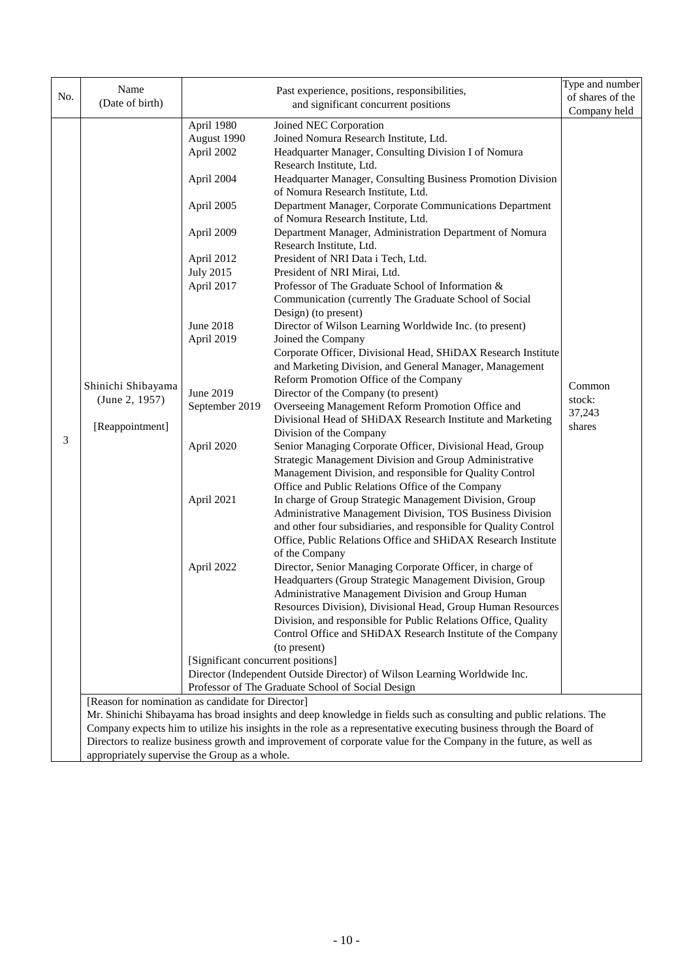|                                               | Name                                              |                                    | Past experience, positions, responsibilities,                                                                       | Type and number |
|-----------------------------------------------|---------------------------------------------------|------------------------------------|---------------------------------------------------------------------------------------------------------------------|-----------------|
| No.                                           | (Date of birth)                                   |                                    | of shares of the                                                                                                    |                 |
|                                               |                                                   |                                    | and significant concurrent positions                                                                                | Company held    |
|                                               |                                                   | April 1980                         | Joined NEC Corporation                                                                                              |                 |
|                                               |                                                   | August 1990                        | Joined Nomura Research Institute, Ltd.                                                                              |                 |
|                                               |                                                   | April 2002                         | Headquarter Manager, Consulting Division I of Nomura                                                                |                 |
|                                               |                                                   |                                    | Research Institute, Ltd.                                                                                            |                 |
|                                               |                                                   | April 2004                         | Headquarter Manager, Consulting Business Promotion Division                                                         |                 |
|                                               |                                                   |                                    | of Nomura Research Institute, Ltd.                                                                                  |                 |
|                                               |                                                   | April 2005                         | Department Manager, Corporate Communications Department                                                             |                 |
|                                               |                                                   |                                    | of Nomura Research Institute, Ltd.                                                                                  |                 |
|                                               |                                                   | April 2009                         | Department Manager, Administration Department of Nomura                                                             |                 |
|                                               |                                                   |                                    | Research Institute, Ltd.                                                                                            |                 |
|                                               |                                                   | April 2012                         | President of NRI Data i Tech, Ltd.                                                                                  |                 |
|                                               |                                                   | <b>July 2015</b>                   | President of NRI Mirai, Ltd.                                                                                        |                 |
|                                               |                                                   | April 2017                         | Professor of The Graduate School of Information &                                                                   |                 |
|                                               |                                                   |                                    | Communication (currently The Graduate School of Social                                                              |                 |
|                                               |                                                   |                                    | Design) (to present)                                                                                                |                 |
|                                               |                                                   | June 2018                          | Director of Wilson Learning Worldwide Inc. (to present)                                                             |                 |
|                                               |                                                   | April 2019                         | Joined the Company                                                                                                  |                 |
|                                               |                                                   |                                    | Corporate Officer, Divisional Head, SHiDAX Research Institute                                                       |                 |
|                                               |                                                   |                                    | and Marketing Division, and General Manager, Management                                                             |                 |
|                                               | Shinichi Shibayama                                | June 2019                          | Reform Promotion Office of the Company<br>Director of the Company (to present)                                      | Common          |
|                                               | (June 2, 1957)<br>[Reappointment]                 | September 2019                     | Overseeing Management Reform Promotion Office and                                                                   | stock:          |
|                                               |                                                   |                                    | Divisional Head of SHiDAX Research Institute and Marketing                                                          | 37,243          |
|                                               |                                                   |                                    | Division of the Company                                                                                             | shares          |
| 3                                             |                                                   | April 2020                         | Senior Managing Corporate Officer, Divisional Head, Group                                                           |                 |
|                                               |                                                   |                                    | Strategic Management Division and Group Administrative                                                              |                 |
|                                               |                                                   |                                    | Management Division, and responsible for Quality Control                                                            |                 |
|                                               |                                                   |                                    | Office and Public Relations Office of the Company                                                                   |                 |
|                                               |                                                   | April 2021                         | In charge of Group Strategic Management Division, Group                                                             |                 |
|                                               |                                                   |                                    | Administrative Management Division, TOS Business Division                                                           |                 |
|                                               |                                                   |                                    | and other four subsidiaries, and responsible for Quality Control                                                    |                 |
|                                               |                                                   |                                    | Office, Public Relations Office and SHiDAX Research Institute                                                       |                 |
|                                               |                                                   |                                    | of the Company                                                                                                      |                 |
|                                               |                                                   | April 2022                         | Director, Senior Managing Corporate Officer, in charge of                                                           |                 |
|                                               |                                                   |                                    | Headquarters (Group Strategic Management Division, Group                                                            |                 |
|                                               |                                                   |                                    | <b>Administrative Management Division and Group Human</b>                                                           |                 |
|                                               |                                                   |                                    | Resources Division), Divisional Head, Group Human Resources                                                         |                 |
|                                               |                                                   |                                    | Division, and responsible for Public Relations Office, Quality                                                      |                 |
|                                               |                                                   |                                    | Control Office and SHiDAX Research Institute of the Company                                                         |                 |
|                                               |                                                   |                                    | (to present)                                                                                                        |                 |
|                                               |                                                   | [Significant concurrent positions] |                                                                                                                     |                 |
|                                               |                                                   |                                    | Director (Independent Outside Director) of Wilson Learning Worldwide Inc.                                           |                 |
|                                               | [Reason for nomination as candidate for Director] |                                    | Professor of The Graduate School of Social Design                                                                   |                 |
|                                               |                                                   |                                    | Mr. Shinichi Shibayama has broad insights and deep knowledge in fields such as consulting and public relations. The |                 |
|                                               |                                                   |                                    | Company expects him to utilize his insights in the role as a representative executing business through the Board of |                 |
|                                               |                                                   |                                    | Directors to realize business growth and improvement of corporate value for the Company in the future, as well as   |                 |
| appropriately supervise the Group as a whole. |                                                   |                                    |                                                                                                                     |                 |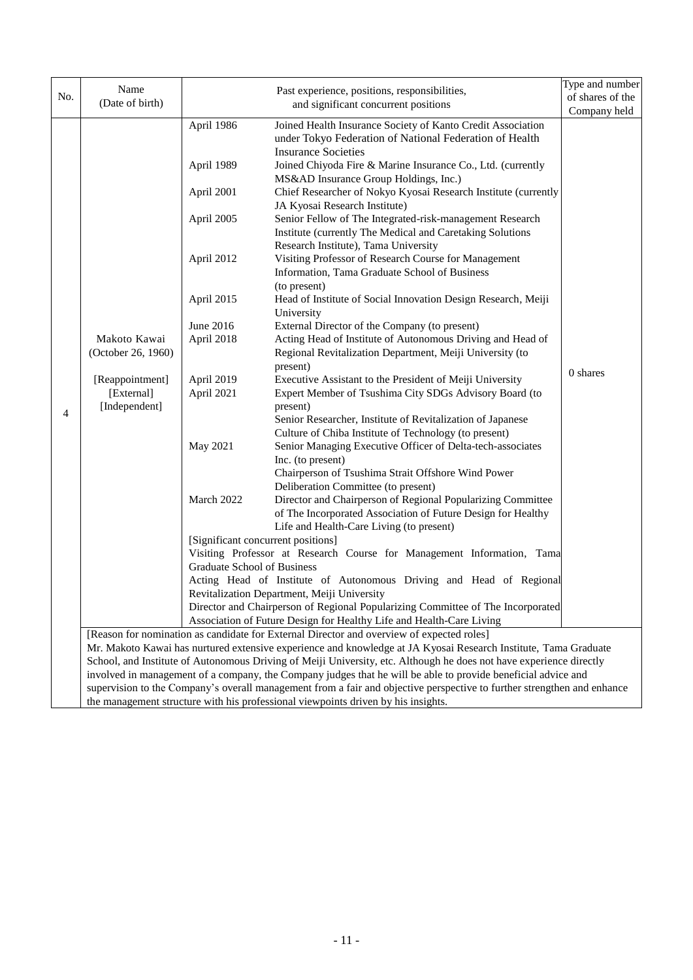|     | Name                                                                              |                                                                                                                                                         |                                                                                                                         | Type and number  |  |  |
|-----|-----------------------------------------------------------------------------------|---------------------------------------------------------------------------------------------------------------------------------------------------------|-------------------------------------------------------------------------------------------------------------------------|------------------|--|--|
| No. | (Date of birth)                                                                   |                                                                                                                                                         | Past experience, positions, responsibilities,<br>and significant concurrent positions                                   | of shares of the |  |  |
|     |                                                                                   |                                                                                                                                                         |                                                                                                                         | Company held     |  |  |
|     |                                                                                   | April 1986                                                                                                                                              | Joined Health Insurance Society of Kanto Credit Association                                                             |                  |  |  |
|     |                                                                                   |                                                                                                                                                         | under Tokyo Federation of National Federation of Health                                                                 |                  |  |  |
|     |                                                                                   |                                                                                                                                                         | <b>Insurance Societies</b>                                                                                              |                  |  |  |
|     |                                                                                   | April 1989                                                                                                                                              | Joined Chiyoda Fire & Marine Insurance Co., Ltd. (currently                                                             |                  |  |  |
|     |                                                                                   |                                                                                                                                                         | MS&AD Insurance Group Holdings, Inc.)                                                                                   |                  |  |  |
|     |                                                                                   | April 2001                                                                                                                                              | Chief Researcher of Nokyo Kyosai Research Institute (currently                                                          |                  |  |  |
|     |                                                                                   |                                                                                                                                                         | JA Kyosai Research Institute)                                                                                           |                  |  |  |
|     |                                                                                   | April 2005                                                                                                                                              | Senior Fellow of The Integrated-risk-management Research                                                                |                  |  |  |
|     |                                                                                   |                                                                                                                                                         | Institute (currently The Medical and Caretaking Solutions                                                               |                  |  |  |
|     |                                                                                   |                                                                                                                                                         | Research Institute), Tama University                                                                                    |                  |  |  |
|     |                                                                                   | April 2012                                                                                                                                              | Visiting Professor of Research Course for Management                                                                    |                  |  |  |
|     |                                                                                   |                                                                                                                                                         | Information, Tama Graduate School of Business                                                                           |                  |  |  |
|     |                                                                                   |                                                                                                                                                         | (to present)                                                                                                            |                  |  |  |
|     |                                                                                   | April 2015                                                                                                                                              | Head of Institute of Social Innovation Design Research, Meiji                                                           |                  |  |  |
|     |                                                                                   |                                                                                                                                                         | University                                                                                                              |                  |  |  |
|     |                                                                                   | June 2016<br>April 2018                                                                                                                                 | External Director of the Company (to present)                                                                           |                  |  |  |
|     | Makoto Kawai                                                                      |                                                                                                                                                         | Acting Head of Institute of Autonomous Driving and Head of<br>Regional Revitalization Department, Meiji University (to  |                  |  |  |
|     | (October 26, 1960)                                                                |                                                                                                                                                         | present)                                                                                                                |                  |  |  |
|     | [Reappointment]                                                                   | April 2019                                                                                                                                              | Executive Assistant to the President of Meiji University                                                                | 0 shares         |  |  |
|     | [External]                                                                        | April 2021                                                                                                                                              | Expert Member of Tsushima City SDGs Advisory Board (to                                                                  |                  |  |  |
|     | [Independent]                                                                     |                                                                                                                                                         | present)                                                                                                                |                  |  |  |
| 4   |                                                                                   |                                                                                                                                                         | Senior Researcher, Institute of Revitalization of Japanese                                                              |                  |  |  |
|     |                                                                                   |                                                                                                                                                         | Culture of Chiba Institute of Technology (to present)                                                                   |                  |  |  |
|     |                                                                                   | May 2021                                                                                                                                                | Senior Managing Executive Officer of Delta-tech-associates                                                              |                  |  |  |
|     |                                                                                   |                                                                                                                                                         | Inc. (to present)                                                                                                       |                  |  |  |
|     |                                                                                   |                                                                                                                                                         | Chairperson of Tsushima Strait Offshore Wind Power                                                                      |                  |  |  |
|     |                                                                                   |                                                                                                                                                         | Deliberation Committee (to present)                                                                                     |                  |  |  |
|     |                                                                                   | March 2022                                                                                                                                              | Director and Chairperson of Regional Popularizing Committee                                                             |                  |  |  |
|     |                                                                                   |                                                                                                                                                         | of The Incorporated Association of Future Design for Healthy                                                            |                  |  |  |
|     |                                                                                   |                                                                                                                                                         | Life and Health-Care Living (to present)                                                                                |                  |  |  |
|     |                                                                                   | [Significant concurrent positions]                                                                                                                      |                                                                                                                         |                  |  |  |
|     |                                                                                   |                                                                                                                                                         | Visiting Professor at Research Course for Management Information, Tama                                                  |                  |  |  |
|     |                                                                                   | Graduate School of Business                                                                                                                             |                                                                                                                         |                  |  |  |
|     |                                                                                   | Acting Head of Institute of Autonomous Driving and Head of Regional<br>Revitalization Department, Meiji University                                      |                                                                                                                         |                  |  |  |
|     |                                                                                   |                                                                                                                                                         |                                                                                                                         |                  |  |  |
|     |                                                                                   | Director and Chairperson of Regional Popularizing Committee of The Incorporated<br>Association of Future Design for Healthy Life and Health-Care Living |                                                                                                                         |                  |  |  |
|     |                                                                                   |                                                                                                                                                         | [Reason for nomination as candidate for External Director and overview of expected roles]                               |                  |  |  |
|     |                                                                                   |                                                                                                                                                         | Mr. Makoto Kawai has nurtured extensive experience and knowledge at JA Kyosai Research Institute, Tama Graduate         |                  |  |  |
|     |                                                                                   |                                                                                                                                                         | School, and Institute of Autonomous Driving of Meiji University, etc. Although he does not have experience directly     |                  |  |  |
|     |                                                                                   |                                                                                                                                                         | involved in management of a company, the Company judges that he will be able to provide beneficial advice and           |                  |  |  |
|     |                                                                                   |                                                                                                                                                         | supervision to the Company's overall management from a fair and objective perspective to further strengthen and enhance |                  |  |  |
|     | the management structure with his professional viewpoints driven by his insights. |                                                                                                                                                         |                                                                                                                         |                  |  |  |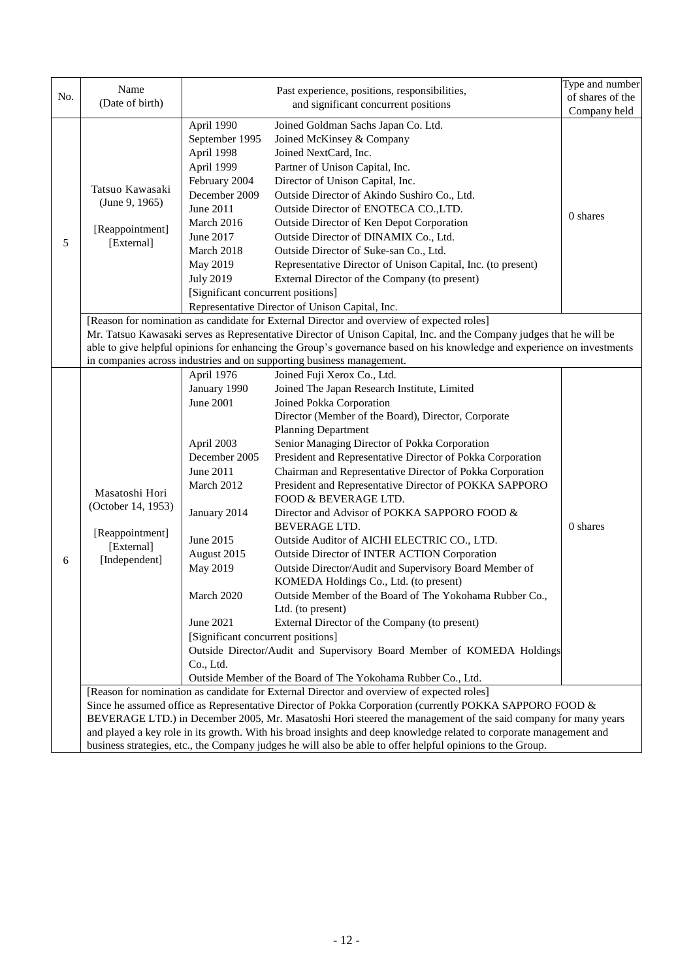| No. | Name<br>(Date of birth)                                                                                                                                                                                                  |                                    | Past experience, positions, responsibilities,<br>and significant concurrent positions                                   | Type and number<br>of shares of the |  |  |
|-----|--------------------------------------------------------------------------------------------------------------------------------------------------------------------------------------------------------------------------|------------------------------------|-------------------------------------------------------------------------------------------------------------------------|-------------------------------------|--|--|
|     |                                                                                                                                                                                                                          |                                    |                                                                                                                         | Company held                        |  |  |
|     |                                                                                                                                                                                                                          | April 1990                         | Joined Goldman Sachs Japan Co. Ltd.                                                                                     |                                     |  |  |
|     |                                                                                                                                                                                                                          | September 1995                     | Joined McKinsey & Company                                                                                               |                                     |  |  |
|     |                                                                                                                                                                                                                          | April 1998                         | Joined NextCard, Inc.                                                                                                   |                                     |  |  |
|     |                                                                                                                                                                                                                          | April 1999                         | Partner of Unison Capital, Inc.                                                                                         |                                     |  |  |
|     | Tatsuo Kawasaki                                                                                                                                                                                                          | February 2004                      | Director of Unison Capital, Inc.                                                                                        |                                     |  |  |
|     | (June 9, 1965)                                                                                                                                                                                                           | December 2009                      | Outside Director of Akindo Sushiro Co., Ltd.                                                                            |                                     |  |  |
|     |                                                                                                                                                                                                                          | June 2011                          | Outside Director of ENOTECA CO., LTD.                                                                                   | 0 shares                            |  |  |
|     | [Reappointment]                                                                                                                                                                                                          | March 2016                         | Outside Director of Ken Depot Corporation                                                                               |                                     |  |  |
| 5   | [External]                                                                                                                                                                                                               | June 2017                          | Outside Director of DINAMIX Co., Ltd.                                                                                   |                                     |  |  |
|     |                                                                                                                                                                                                                          | March 2018                         | Outside Director of Suke-san Co., Ltd.                                                                                  |                                     |  |  |
|     |                                                                                                                                                                                                                          | May 2019                           | Representative Director of Unison Capital, Inc. (to present)                                                            |                                     |  |  |
|     |                                                                                                                                                                                                                          | <b>July 2019</b>                   | External Director of the Company (to present)                                                                           |                                     |  |  |
|     |                                                                                                                                                                                                                          | [Significant concurrent positions] |                                                                                                                         |                                     |  |  |
|     |                                                                                                                                                                                                                          |                                    | Representative Director of Unison Capital, Inc.                                                                         |                                     |  |  |
|     |                                                                                                                                                                                                                          |                                    | [Reason for nomination as candidate for External Director and overview of expected roles]                               |                                     |  |  |
|     |                                                                                                                                                                                                                          |                                    | Mr. Tatsuo Kawasaki serves as Representative Director of Unison Capital, Inc. and the Company judges that he will be    |                                     |  |  |
|     |                                                                                                                                                                                                                          |                                    | able to give helpful opinions for enhancing the Group's governance based on his knowledge and experience on investments |                                     |  |  |
|     |                                                                                                                                                                                                                          |                                    | in companies across industries and on supporting business management.                                                   |                                     |  |  |
|     |                                                                                                                                                                                                                          | April 1976                         | Joined Fuji Xerox Co., Ltd.<br>Joined The Japan Research Institute, Limited                                             |                                     |  |  |
|     |                                                                                                                                                                                                                          | January 1990<br><b>June 2001</b>   | Joined Pokka Corporation                                                                                                |                                     |  |  |
|     |                                                                                                                                                                                                                          |                                    | Director (Member of the Board), Director, Corporate                                                                     |                                     |  |  |
|     | Masatoshi Hori<br>(October 14, 1953)                                                                                                                                                                                     |                                    | <b>Planning Department</b>                                                                                              |                                     |  |  |
|     |                                                                                                                                                                                                                          | April 2003                         | Senior Managing Director of Pokka Corporation                                                                           |                                     |  |  |
|     |                                                                                                                                                                                                                          | December 2005                      | President and Representative Director of Pokka Corporation                                                              |                                     |  |  |
|     |                                                                                                                                                                                                                          | June 2011                          | Chairman and Representative Director of Pokka Corporation                                                               |                                     |  |  |
|     |                                                                                                                                                                                                                          | March 2012                         | President and Representative Director of POKKA SAPPORO                                                                  |                                     |  |  |
|     |                                                                                                                                                                                                                          |                                    | FOOD & BEVERAGE LTD.                                                                                                    |                                     |  |  |
|     |                                                                                                                                                                                                                          | January 2014                       | Director and Advisor of POKKA SAPPORO FOOD &                                                                            |                                     |  |  |
|     | [Reappointment]                                                                                                                                                                                                          |                                    | <b>BEVERAGE LTD.</b>                                                                                                    | $0$ shares                          |  |  |
|     | [External]                                                                                                                                                                                                               | June 2015                          | Outside Auditor of AICHI ELECTRIC CO., LTD.                                                                             |                                     |  |  |
| 6   | [Independent]                                                                                                                                                                                                            | August 2015                        | Outside Director of INTER ACTION Corporation                                                                            |                                     |  |  |
|     |                                                                                                                                                                                                                          | May 2019                           | Outside Director/Audit and Supervisory Board Member of                                                                  |                                     |  |  |
|     |                                                                                                                                                                                                                          |                                    | KOMEDA Holdings Co., Ltd. (to present)                                                                                  |                                     |  |  |
|     |                                                                                                                                                                                                                          | <b>March 2020</b>                  | Outside Member of the Board of The Yokohama Rubber Co.                                                                  |                                     |  |  |
|     |                                                                                                                                                                                                                          |                                    | Ltd. (to present)                                                                                                       |                                     |  |  |
|     |                                                                                                                                                                                                                          | June 2021                          | External Director of the Company (to present)                                                                           |                                     |  |  |
|     |                                                                                                                                                                                                                          | [Significant concurrent positions] |                                                                                                                         |                                     |  |  |
|     |                                                                                                                                                                                                                          | Co., Ltd.                          | Outside Director/Audit and Supervisory Board Member of KOMEDA Holdings                                                  |                                     |  |  |
|     |                                                                                                                                                                                                                          |                                    | Outside Member of the Board of The Yokohama Rubber Co., Ltd.                                                            |                                     |  |  |
|     |                                                                                                                                                                                                                          |                                    | [Reason for nomination as candidate for External Director and overview of expected roles]                               |                                     |  |  |
|     |                                                                                                                                                                                                                          |                                    |                                                                                                                         |                                     |  |  |
|     | Since he assumed office as Representative Director of Pokka Corporation (currently POKKA SAPPORO FOOD &<br>BEVERAGE LTD.) in December 2005, Mr. Masatoshi Hori steered the management of the said company for many years |                                    |                                                                                                                         |                                     |  |  |
|     | and played a key role in its growth. With his broad insights and deep knowledge related to corporate management and                                                                                                      |                                    |                                                                                                                         |                                     |  |  |
|     | business strategies, etc., the Company judges he will also be able to offer helpful opinions to the Group.                                                                                                               |                                    |                                                                                                                         |                                     |  |  |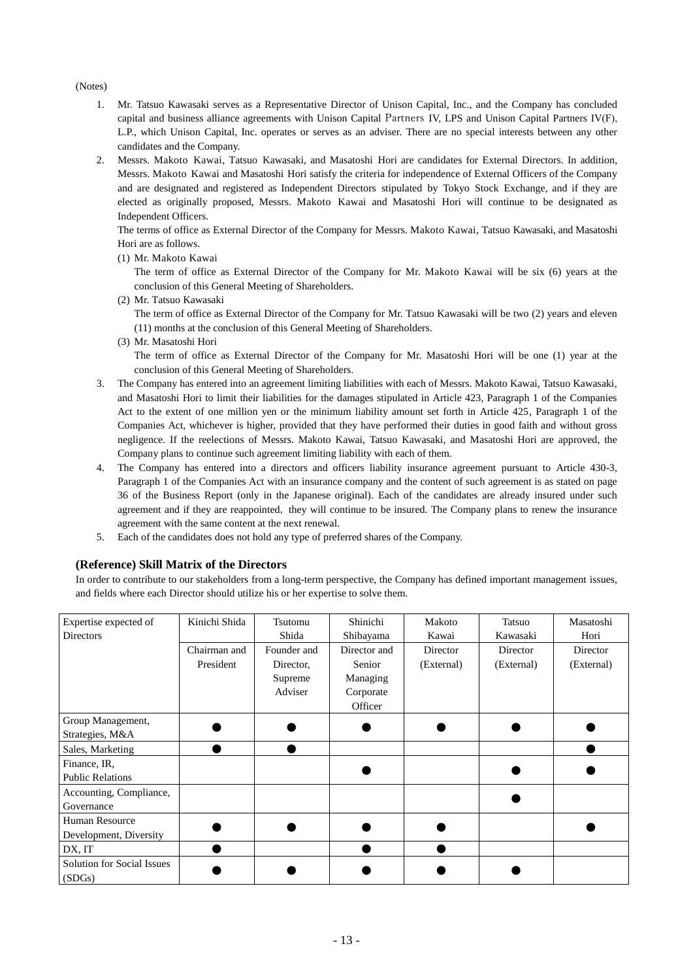#### (Notes)

- 1. Mr. Tatsuo Kawasaki serves as a Representative Director of Unison Capital, Inc., and the Company has concluded capital and business alliance agreements with Unison Capital Partners IV, LPS and Unison Capital Partners Ⅳ(F), L.P., which Unison Capital, Inc. operates or serves as an adviser. There are no special interests between any other candidates and the Company.
- 2. Messrs. Makoto Kawai, Tatsuo Kawasaki, and Masatoshi Hori are candidates for External Directors. In addition, Messrs. Makoto Kawai and Masatoshi Hori satisfy the criteria for independence of External Officers of the Company and are designated and registered as Independent Directors stipulated by Tokyo Stock Exchange, and if they are elected as originally proposed, Messrs. Makoto Kawai and Masatoshi Hori will continue to be designated as Independent Officers.

The terms of office as External Director of the Company for Messrs. Makoto Kawai, Tatsuo Kawasaki, and Masatoshi Hori are as follows.

(1) Mr. Makoto Kawai

The term of office as External Director of the Company for Mr. Makoto Kawai will be six (6) years at the conclusion of this General Meeting of Shareholders.

(2) Mr. Tatsuo Kawasaki

The term of office as External Director of the Company for Mr. Tatsuo Kawasaki will be two (2) years and eleven (11) months at the conclusion of this General Meeting of Shareholders.

(3) Mr. Masatoshi Hori

The term of office as External Director of the Company for Mr. Masatoshi Hori will be one (1) year at the conclusion of this General Meeting of Shareholders.

- 3. The Company has entered into an agreement limiting liabilities with each of Messrs. Makoto Kawai, Tatsuo Kawasaki, and Masatoshi Hori to limit their liabilities for the damages stipulated in Article 423, Paragraph 1 of the Companies Act to the extent of one million yen or the minimum liability amount set forth in Article 425, Paragraph 1 of the Companies Act, whichever is higher, provided that they have performed their duties in good faith and without gross negligence. If the reelections of Messrs. Makoto Kawai, Tatsuo Kawasaki, and Masatoshi Hori are approved, the Company plans to continue such agreement limiting liability with each of them.
- 4. The Company has entered into a directors and officers liability insurance agreement pursuant to Article 430-3, Paragraph 1 of the Companies Act with an insurance company and the content of such agreement is as stated on page 36 of the Business Report (only in the Japanese original). Each of the candidates are already insured under such agreement and if they are reappointed, they will continue to be insured. The Company plans to renew the insurance agreement with the same content at the next renewal.
- 5. Each of the candidates does not hold any type of preferred shares of the Company.

## **(Reference) Skill Matrix of the Directors**

In order to contribute to our stakeholders from a long-term perspective, the Company has defined important management issues, and fields where each Director should utilize his or her expertise to solve them.

| Expertise expected of      | Kinichi Shida | Tsutomu     | Shinichi     | Makoto     | Tatsuo     | Masatoshi  |
|----------------------------|---------------|-------------|--------------|------------|------------|------------|
| <b>Directors</b>           |               | Shida       | Shibayama    | Kawai      | Kawasaki   | Hori       |
|                            | Chairman and  | Founder and | Director and | Director   | Director   | Director   |
|                            | President     | Director,   | Senior       | (External) | (External) | (External) |
|                            |               | Supreme     | Managing     |            |            |            |
|                            |               | Adviser     | Corporate    |            |            |            |
|                            |               |             | Officer      |            |            |            |
| Group Management,          |               |             |              |            |            |            |
| Strategies, M&A            |               |             |              |            |            |            |
| Sales, Marketing           |               |             |              |            |            |            |
| Finance, IR,               |               |             |              |            |            |            |
| <b>Public Relations</b>    |               |             |              |            |            |            |
| Accounting, Compliance,    |               |             |              |            |            |            |
| Governance                 |               |             |              |            |            |            |
| Human Resource             |               |             |              |            |            |            |
| Development, Diversity     |               |             |              |            |            |            |
| DX, IT                     |               |             |              |            |            |            |
| Solution for Social Issues |               |             |              |            |            |            |
| (SDGs)                     |               |             |              |            |            |            |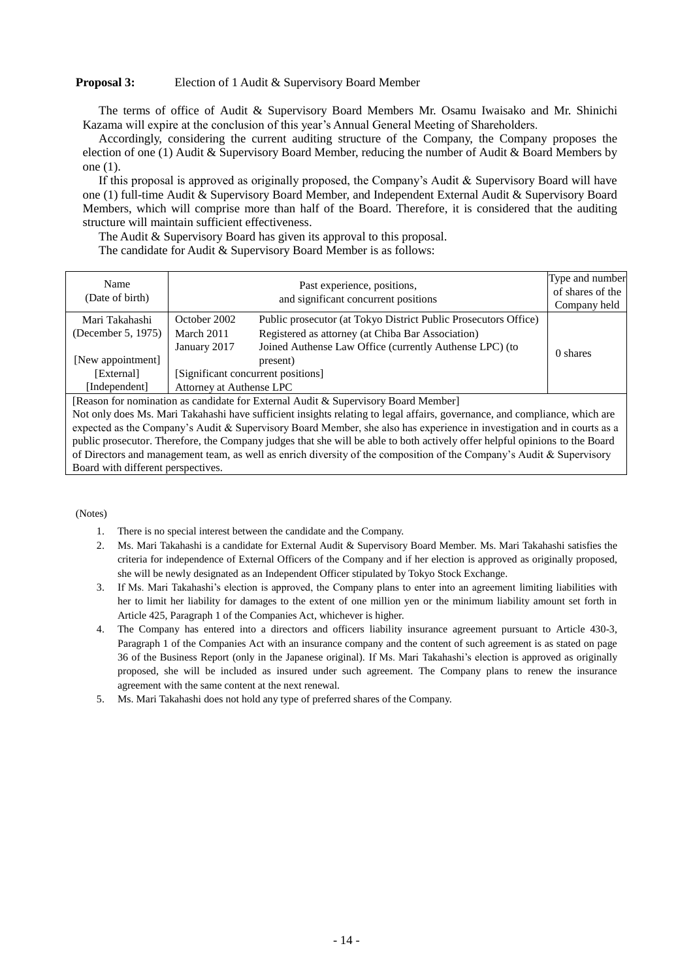## **Proposal 3:** Election of 1 Audit & Supervisory Board Member

The terms of office of Audit & Supervisory Board Members Mr. Osamu Iwaisako and Mr. Shinichi Kazama will expire at the conclusion of this year's Annual General Meeting of Shareholders.

Accordingly, considering the current auditing structure of the Company, the Company proposes the election of one (1) Audit & Supervisory Board Member, reducing the number of Audit & Board Members by one (1).

If this proposal is approved as originally proposed, the Company's Audit & Supervisory Board will have one (1) full-time Audit & Supervisory Board Member, and Independent External Audit & Supervisory Board Members, which will comprise more than half of the Board. Therefore, it is considered that the auditing structure will maintain sufficient effectiveness.

The Audit & Supervisory Board has given its approval to this proposal.

The candidate for Audit & Supervisory Board Member is as follows:

| Name<br>(Date of birth)              |                                    | Past experience, positions,<br>and significant concurrent positions                                                  | Type and number<br>of shares of the<br>Company held |
|--------------------------------------|------------------------------------|----------------------------------------------------------------------------------------------------------------------|-----------------------------------------------------|
| Mari Takahashi<br>(December 5, 1975) | October 2002<br>March 2011         | Public prosecutor (at Tokyo District Public Prosecutors Office)<br>Registered as attorney (at Chiba Bar Association) |                                                     |
|                                      | January 2017                       | Joined Authense Law Office (currently Authense LPC) (to                                                              | 0 shares                                            |
| [New appointment]                    |                                    | present)                                                                                                             |                                                     |
| [External]                           | [Significant concurrent positions] |                                                                                                                      |                                                     |
| [Independent]                        | Attorney at Authense LPC           |                                                                                                                      |                                                     |

[Reason for nomination as candidate for External Audit & Supervisory Board Member]

Not only does Ms. Mari Takahashi have sufficient insights relating to legal affairs, governance, and compliance, which are expected as the Company's Audit & Supervisory Board Member, she also has experience in investigation and in courts as a public prosecutor. Therefore, the Company judges that she will be able to both actively offer helpful opinions to the Board of Directors and management team, as well as enrich diversity of the composition of the Company's Audit & Supervisory Board with different perspectives.

#### (Notes)

- 1. There is no special interest between the candidate and the Company.
- 2. Ms. Mari Takahashi is a candidate for External Audit & Supervisory Board Member. Ms. Mari Takahashi satisfies the criteria for independence of External Officers of the Company and if her election is approved as originally proposed, she will be newly designated as an Independent Officer stipulated by Tokyo Stock Exchange.
- 3. If Ms. Mari Takahashi's election is approved, the Company plans to enter into an agreement limiting liabilities with her to limit her liability for damages to the extent of one million yen or the minimum liability amount set forth in Article 425, Paragraph 1 of the Companies Act, whichever is higher.
- 4. The Company has entered into a directors and officers liability insurance agreement pursuant to Article 430-3, Paragraph 1 of the Companies Act with an insurance company and the content of such agreement is as stated on page 36 of the Business Report (only in the Japanese original). If Ms. Mari Takahashi's election is approved as originally proposed, she will be included as insured under such agreement. The Company plans to renew the insurance agreement with the same content at the next renewal.
- 5. Ms. Mari Takahashi does not hold any type of preferred shares of the Company.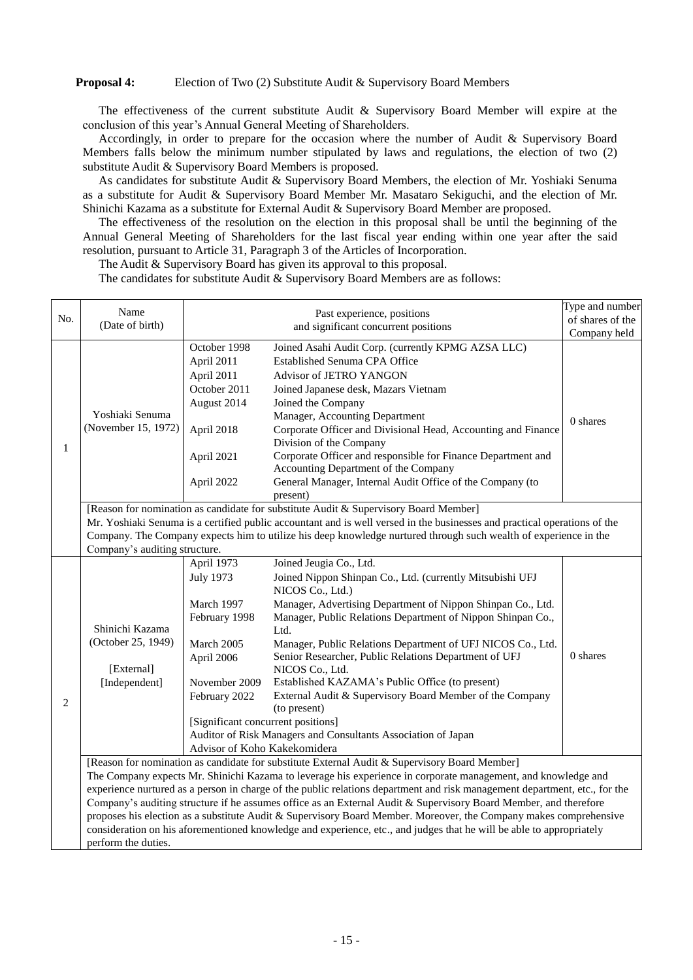## **Proposal 4:** Election of Two (2) Substitute Audit & Supervisory Board Members

The effectiveness of the current substitute Audit & Supervisory Board Member will expire at the conclusion of this year's Annual General Meeting of Shareholders.

Accordingly, in order to prepare for the occasion where the number of Audit & Supervisory Board Members falls below the minimum number stipulated by laws and regulations, the election of two (2) substitute Audit & Supervisory Board Members is proposed.

As candidates for substitute Audit & Supervisory Board Members, the election of Mr. Yoshiaki Senuma as a substitute for Audit & Supervisory Board Member Mr. Masataro Sekiguchi, and the election of Mr. Shinichi Kazama as a substitute for External Audit & Supervisory Board Member are proposed.

The effectiveness of the resolution on the election in this proposal shall be until the beginning of the Annual General Meeting of Shareholders for the last fiscal year ending within one year after the said resolution, pursuant to Article 31, Paragraph 3 of the Articles of Incorporation.

The Audit & Supervisory Board has given its approval to this proposal.

The candidates for substitute Audit & Supervisory Board Members are as follows:

|     | Name                                                                                                                                                                                                                                                                                                                                                                                                                                                                                                                                                                                                                                                                                                                                 |                                                                                                                                                                                                   | Past experience, positions                                                                                                                                                                                                                                                                                                                                                                                                                                                                                                                                                                | Type and number |  |
|-----|--------------------------------------------------------------------------------------------------------------------------------------------------------------------------------------------------------------------------------------------------------------------------------------------------------------------------------------------------------------------------------------------------------------------------------------------------------------------------------------------------------------------------------------------------------------------------------------------------------------------------------------------------------------------------------------------------------------------------------------|---------------------------------------------------------------------------------------------------------------------------------------------------------------------------------------------------|-------------------------------------------------------------------------------------------------------------------------------------------------------------------------------------------------------------------------------------------------------------------------------------------------------------------------------------------------------------------------------------------------------------------------------------------------------------------------------------------------------------------------------------------------------------------------------------------|-----------------|--|
| No. | (Date of birth)                                                                                                                                                                                                                                                                                                                                                                                                                                                                                                                                                                                                                                                                                                                      |                                                                                                                                                                                                   | of shares of the                                                                                                                                                                                                                                                                                                                                                                                                                                                                                                                                                                          |                 |  |
|     |                                                                                                                                                                                                                                                                                                                                                                                                                                                                                                                                                                                                                                                                                                                                      | and significant concurrent positions                                                                                                                                                              |                                                                                                                                                                                                                                                                                                                                                                                                                                                                                                                                                                                           | Company held    |  |
| 1   | Yoshiaki Senuma<br>(November 15, 1972)                                                                                                                                                                                                                                                                                                                                                                                                                                                                                                                                                                                                                                                                                               | October 1998<br>April 2011<br>April 2011<br>October 2011<br>August 2014<br>April 2018<br>April 2021<br>April 2022                                                                                 | Joined Asahi Audit Corp. (currently KPMG AZSA LLC)<br>Established Senuma CPA Office<br>Advisor of JETRO YANGON<br>Joined Japanese desk, Mazars Vietnam<br>Joined the Company<br>Manager, Accounting Department<br>Corporate Officer and Divisional Head, Accounting and Finance<br>Division of the Company<br>Corporate Officer and responsible for Finance Department and<br>Accounting Department of the Company<br>General Manager, Internal Audit Office of the Company (to<br>present)                                                                                               | 0 shares        |  |
|     |                                                                                                                                                                                                                                                                                                                                                                                                                                                                                                                                                                                                                                                                                                                                      |                                                                                                                                                                                                   | [Reason for nomination as candidate for substitute Audit & Supervisory Board Member]                                                                                                                                                                                                                                                                                                                                                                                                                                                                                                      |                 |  |
|     |                                                                                                                                                                                                                                                                                                                                                                                                                                                                                                                                                                                                                                                                                                                                      |                                                                                                                                                                                                   | Mr. Yoshiaki Senuma is a certified public accountant and is well versed in the businesses and practical operations of the                                                                                                                                                                                                                                                                                                                                                                                                                                                                 |                 |  |
|     |                                                                                                                                                                                                                                                                                                                                                                                                                                                                                                                                                                                                                                                                                                                                      |                                                                                                                                                                                                   | Company. The Company expects him to utilize his deep knowledge nurtured through such wealth of experience in the                                                                                                                                                                                                                                                                                                                                                                                                                                                                          |                 |  |
|     | Company's auditing structure.                                                                                                                                                                                                                                                                                                                                                                                                                                                                                                                                                                                                                                                                                                        |                                                                                                                                                                                                   |                                                                                                                                                                                                                                                                                                                                                                                                                                                                                                                                                                                           |                 |  |
| 2   | Shinichi Kazama<br>(October 25, 1949)<br>[External]<br>[Independent]                                                                                                                                                                                                                                                                                                                                                                                                                                                                                                                                                                                                                                                                 | April 1973<br><b>July 1973</b><br>March 1997<br>February 1998<br>March 2005<br>April 2006<br>November 2009<br>February 2022<br>[Significant concurrent positions]<br>Advisor of Koho Kakekomidera | Joined Jeugia Co., Ltd.<br>Joined Nippon Shinpan Co., Ltd. (currently Mitsubishi UFJ<br>NICOS Co., Ltd.)<br>Manager, Advertising Department of Nippon Shinpan Co., Ltd.<br>Manager, Public Relations Department of Nippon Shinpan Co.,<br>Ltd.<br>Manager, Public Relations Department of UFJ NICOS Co., Ltd.<br>Senior Researcher, Public Relations Department of UFJ<br>NICOS Co., Ltd.<br>Established KAZAMA's Public Office (to present)<br>External Audit & Supervisory Board Member of the Company<br>(to present)<br>Auditor of Risk Managers and Consultants Association of Japan | 0 shares        |  |
|     | [Reason for nomination as candidate for substitute External Audit & Supervisory Board Member]<br>The Company expects Mr. Shinichi Kazama to leverage his experience in corporate management, and knowledge and<br>experience nurtured as a person in charge of the public relations department and risk management department, etc., for the<br>Company's auditing structure if he assumes office as an External Audit & Supervisory Board Member, and therefore<br>proposes his election as a substitute Audit & Supervisory Board Member. Moreover, the Company makes comprehensive<br>consideration on his aforementioned knowledge and experience, etc., and judges that he will be able to appropriately<br>perform the duties. |                                                                                                                                                                                                   |                                                                                                                                                                                                                                                                                                                                                                                                                                                                                                                                                                                           |                 |  |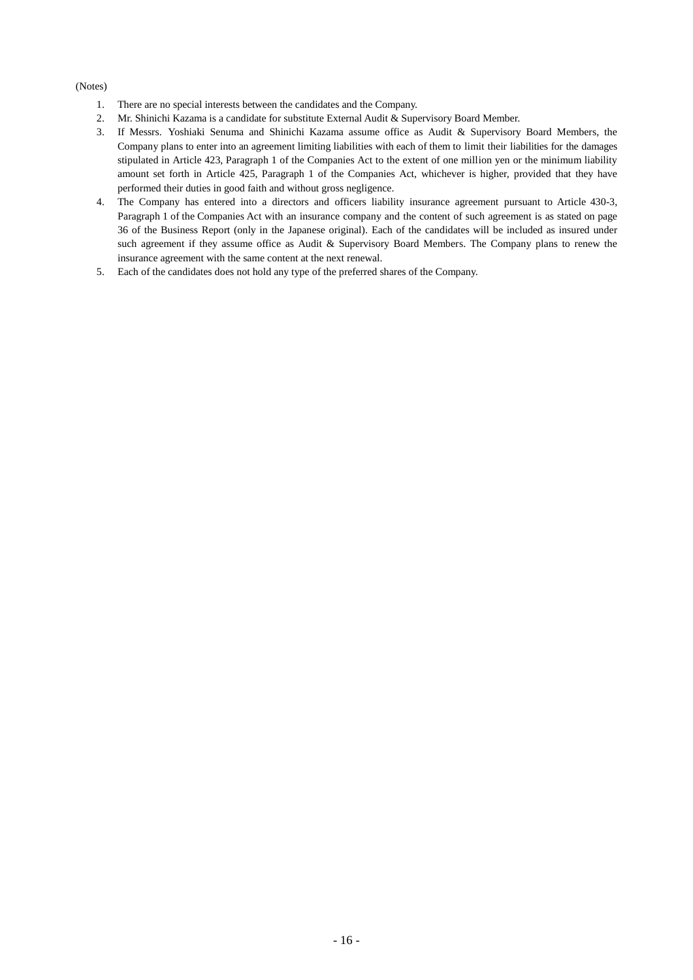#### (Notes)

- 1. There are no special interests between the candidates and the Company.
- 2. Mr. Shinichi Kazama is a candidate for substitute External Audit & Supervisory Board Member.
- 3. If Messrs. Yoshiaki Senuma and Shinichi Kazama assume office as Audit & Supervisory Board Members, the Company plans to enter into an agreement limiting liabilities with each of them to limit their liabilities for the damages stipulated in Article 423, Paragraph 1 of the Companies Act to the extent of one million yen or the minimum liability amount set forth in Article 425, Paragraph 1 of the Companies Act, whichever is higher, provided that they have performed their duties in good faith and without gross negligence.
- 4. The Company has entered into a directors and officers liability insurance agreement pursuant to Article 430-3, Paragraph 1 of the Companies Act with an insurance company and the content of such agreement is as stated on page 36 of the Business Report (only in the Japanese original). Each of the candidates will be included as insured under such agreement if they assume office as Audit & Supervisory Board Members. The Company plans to renew the insurance agreement with the same content at the next renewal.
- 5. Each of the candidates does not hold any type of the preferred shares of the Company.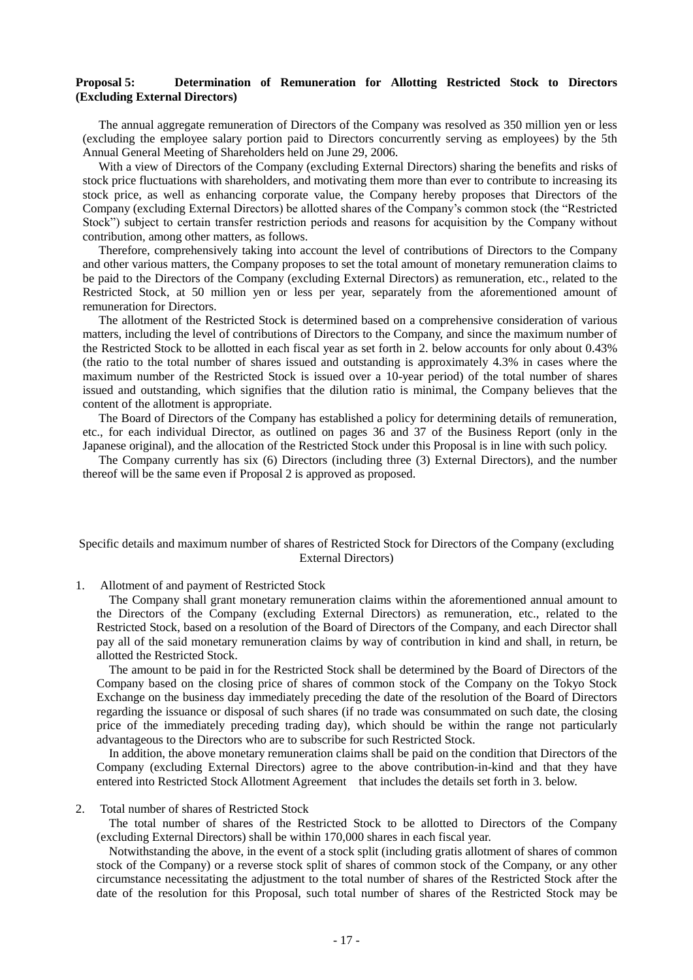#### **Proposal 5: Determination of Remuneration for Allotting Restricted Stock to Directors (Excluding External Directors)**

The annual aggregate remuneration of Directors of the Company was resolved as 350 million yen or less (excluding the employee salary portion paid to Directors concurrently serving as employees) by the 5th Annual General Meeting of Shareholders held on June 29, 2006.

With a view of Directors of the Company (excluding External Directors) sharing the benefits and risks of stock price fluctuations with shareholders, and motivating them more than ever to contribute to increasing its stock price, as well as enhancing corporate value, the Company hereby proposes that Directors of the Company (excluding External Directors) be allotted shares of the Company's common stock (the "Restricted Stock") subject to certain transfer restriction periods and reasons for acquisition by the Company without contribution, among other matters, as follows.

Therefore, comprehensively taking into account the level of contributions of Directors to the Company and other various matters, the Company proposes to set the total amount of monetary remuneration claims to be paid to the Directors of the Company (excluding External Directors) as remuneration, etc., related to the Restricted Stock, at 50 million yen or less per year, separately from the aforementioned amount of remuneration for Directors.

The allotment of the Restricted Stock is determined based on a comprehensive consideration of various matters, including the level of contributions of Directors to the Company, and since the maximum number of the Restricted Stock to be allotted in each fiscal year as set forth in 2. below accounts for only about 0.43% (the ratio to the total number of shares issued and outstanding is approximately 4.3% in cases where the maximum number of the Restricted Stock is issued over a 10-year period) of the total number of shares issued and outstanding, which signifies that the dilution ratio is minimal, the Company believes that the content of the allotment is appropriate.

The Board of Directors of the Company has established a policy for determining details of remuneration, etc., for each individual Director, as outlined on pages 36 and 37 of the Business Report (only in the Japanese original), and the allocation of the Restricted Stock under this Proposal is in line with such policy.

The Company currently has six (6) Directors (including three (3) External Directors), and the number thereof will be the same even if Proposal 2 is approved as proposed.

## Specific details and maximum number of shares of Restricted Stock for Directors of the Company (excluding External Directors)

1. Allotment of and payment of Restricted Stock

The Company shall grant monetary remuneration claims within the aforementioned annual amount to the Directors of the Company (excluding External Directors) as remuneration, etc., related to the Restricted Stock, based on a resolution of the Board of Directors of the Company, and each Director shall pay all of the said monetary remuneration claims by way of contribution in kind and shall, in return, be allotted the Restricted Stock.

The amount to be paid in for the Restricted Stock shall be determined by the Board of Directors of the Company based on the closing price of shares of common stock of the Company on the Tokyo Stock Exchange on the business day immediately preceding the date of the resolution of the Board of Directors regarding the issuance or disposal of such shares (if no trade was consummated on such date, the closing price of the immediately preceding trading day), which should be within the range not particularly advantageous to the Directors who are to subscribe for such Restricted Stock.

In addition, the above monetary remuneration claims shall be paid on the condition that Directors of the Company (excluding External Directors) agree to the above contribution-in-kind and that they have entered into Restricted Stock Allotment Agreement that includes the details set forth in 3. below.

#### 2. Total number of shares of Restricted Stock

The total number of shares of the Restricted Stock to be allotted to Directors of the Company (excluding External Directors) shall be within 170,000 shares in each fiscal year.

Notwithstanding the above, in the event of a stock split (including gratis allotment of shares of common stock of the Company) or a reverse stock split of shares of common stock of the Company, or any other circumstance necessitating the adjustment to the total number of shares of the Restricted Stock after the date of the resolution for this Proposal, such total number of shares of the Restricted Stock may be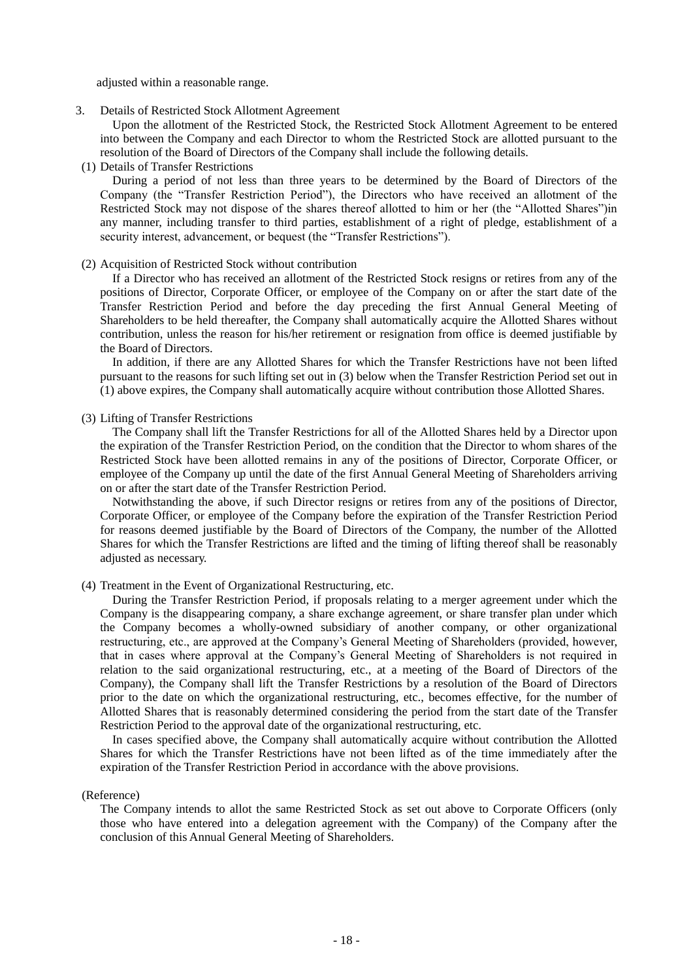adjusted within a reasonable range.

3. Details of Restricted Stock Allotment Agreement

Upon the allotment of the Restricted Stock, the Restricted Stock Allotment Agreement to be entered into between the Company and each Director to whom the Restricted Stock are allotted pursuant to the resolution of the Board of Directors of the Company shall include the following details.

(1) Details of Transfer Restrictions

During a period of not less than three years to be determined by the Board of Directors of the Company (the "Transfer Restriction Period"), the Directors who have received an allotment of the Restricted Stock may not dispose of the shares thereof allotted to him or her (the "Allotted Shares")in any manner, including transfer to third parties, establishment of a right of pledge, establishment of a security interest, advancement, or bequest (the "Transfer Restrictions").

#### (2) Acquisition of Restricted Stock without contribution

If a Director who has received an allotment of the Restricted Stock resigns or retires from any of the positions of Director, Corporate Officer, or employee of the Company on or after the start date of the Transfer Restriction Period and before the day preceding the first Annual General Meeting of Shareholders to be held thereafter, the Company shall automatically acquire the Allotted Shares without contribution, unless the reason for his/her retirement or resignation from office is deemed justifiable by the Board of Directors.

In addition, if there are any Allotted Shares for which the Transfer Restrictions have not been lifted pursuant to the reasons for such lifting set out in (3) below when the Transfer Restriction Period set out in (1) above expires, the Company shall automatically acquire without contribution those Allotted Shares.

#### (3) Lifting of Transfer Restrictions

The Company shall lift the Transfer Restrictions for all of the Allotted Shares held by a Director upon the expiration of the Transfer Restriction Period, on the condition that the Director to whom shares of the Restricted Stock have been allotted remains in any of the positions of Director, Corporate Officer, or employee of the Company up until the date of the first Annual General Meeting of Shareholders arriving on or after the start date of the Transfer Restriction Period.

Notwithstanding the above, if such Director resigns or retires from any of the positions of Director, Corporate Officer, or employee of the Company before the expiration of the Transfer Restriction Period for reasons deemed justifiable by the Board of Directors of the Company, the number of the Allotted Shares for which the Transfer Restrictions are lifted and the timing of lifting thereof shall be reasonably adjusted as necessary.

#### (4) Treatment in the Event of Organizational Restructuring, etc.

During the Transfer Restriction Period, if proposals relating to a merger agreement under which the Company is the disappearing company, a share exchange agreement, or share transfer plan under which the Company becomes a wholly-owned subsidiary of another company, or other organizational restructuring, etc., are approved at the Company's General Meeting of Shareholders (provided, however, that in cases where approval at the Company's General Meeting of Shareholders is not required in relation to the said organizational restructuring, etc., at a meeting of the Board of Directors of the Company), the Company shall lift the Transfer Restrictions by a resolution of the Board of Directors prior to the date on which the organizational restructuring, etc., becomes effective, for the number of Allotted Shares that is reasonably determined considering the period from the start date of the Transfer Restriction Period to the approval date of the organizational restructuring, etc.

In cases specified above, the Company shall automatically acquire without contribution the Allotted Shares for which the Transfer Restrictions have not been lifted as of the time immediately after the expiration of the Transfer Restriction Period in accordance with the above provisions.

#### (Reference)

The Company intends to allot the same Restricted Stock as set out above to Corporate Officers (only those who have entered into a delegation agreement with the Company) of the Company after the conclusion of this Annual General Meeting of Shareholders.